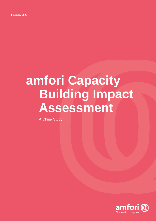# **amfori Capacity Building Impact Assessment**

A China Study

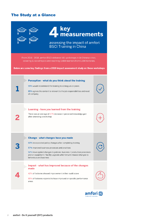# The Study at a Glance



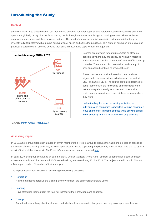# Introducing the Study

## **Context**

amfori's mission is to enable each of our members to enhance human prosperity, use natural resources responsibly and drive open trade globally. A key channel for achieving this is through our capacity building and training courses. These activities empower our members and their business partners. The heart of our capacity building activities is the amfori Academy: an innovative digital platform with a unique combination of online and offline learning tools. This platform combines interactive and practical programmes for users to develop their skills in sustainable supply chain management.



*Source[: amfori Annual Report 2019](https://amfori-.foleon.com/annual-report-amfori/annual-report-2019/at-a-glance/)*

Courses are provided for amfori members as close as possible to where they are based, as well as in factories and as close as possible to members' local staff in sourcing countries. The number of courses taken and variety of sessions offered continue to grow each year.

These courses are provided based on need and are aligned with our association's initiatives such as amfori BSCI and amfori BEPI. The course content is designed to equip learners with the knowledge and skills required to better manage human rights issues and other socioenvironmental compliance issues at the companies where they work.

Understanding the impact of training activities, for individuals and companies is important for drive continuous focus on the most impactful courses while allowing amfori to continuously improve its capacity building activities.

### **Assessing impact**

In 2018, amfori brought together a range of amfori members to a Project Group to discuss the value and process of assessing the impact of these training activities, as well as participating in and supporting the pilot study and activities. This pilot study is a result of their collaborative work. The Project Group members can be consulted [here.](https://www.amfori.org/content/project-groups-amfori-governance)

In early 2019, this group contracted an external party, Deloitte Advisory (Hong Kong) Limited, to perform an extensive impact assessment study in China on amfori BSCI related training activities during 2016 – 2018. The project started in April 2019, with a final report ready in November of that same year.

The impact assessment focused on answering the following questions -

#### **Perception**

How do attendees perceive the training, do they consider the content relevant and useful

#### **Learning**

Have attendees learned from the training, increasing their knowledge and expertise

#### ▪ Change

Are attendees applying what they learned and whether they have made changes in how they do or approach their job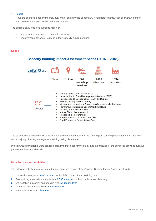#### **Impact**

Have the changes made by the individual and/or company led to company level improvements, such as improved amfori BSCI scores in the perspective performance areas

The external party was also tasked to report on

- any limitations encountered during the work, and
- improvements for amfori to make in their capacity building offering.

### **Scope**

# Capacity Building Impact Assessment Scope (2016 - 2018)



The study focused on amfori BSCI training for factory management in China, the biggest sourcing market for amfori members with a majority of factory management training taking place there.

Project Group participants were central to identifying factories for the study, and in particular for the advanced activities such as phone interviews and site visits.

### **Data Sources and Activities**

The following activities were performed and/or analysed as part of the Capacity Building Impact Assessment study –

- **1.** Correlation analysis of 1000 factories' amfori BSCI 2.0 Audit and Training data
- **2.** Post-training survey data analysis from 2,535 surveys completed in the amfori Academy
- **3.** Online follow-up survey and analysis with 171 respondents
- **4.** 20-minute phone interviews with 86 individuals
- **5.** Half-day site visits at 7 factories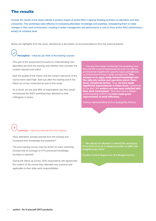# The results

Overall, the results of the study indicate a positive impact of amfori BSCI Capacity Building activities on attendees and their companies. The workshops were effective in increasing attendees' knowledge and expertise, empowering them to make changes in their work environment, resulting in better management and performance in one or more amfori BSCI performance area(s) at company level.

Below are highlights from the study, followed by a description of recommendations from the external partner.

# **Perception** – what do you think of the training courses

This part of the assessment focused on understanding how attendees perceive the training and whether they consider the content relevant and useful.

Both the quality of the trainer and the content relevance of the course were rated high, both just after the training and in the follow up survey conducted as part of this study.

As a result, we see that 99% of respondents say they would recommend the BSCI workshop they attended to their colleagues or peers.

"...The way the trainer conducted the workshop and<br>the content covered impressed me a lot. He offered<br>professional insights into specific topics and allowed<br>us to brainstorm from a wider perspective. This allowed us to apply newly learned knowledge into<br>the daily job routine and operation which I have never considered before. Thus, we have made significant improvements in these areas. Compared to the past, the **workers are now more satisfied with**<br>their work environment. They also have a deeper<br>understanding of BSCI and have made great improvement on work efficiency

Factory representative from a Guangzhou factory

# **Learning** – have you learned from the training

Have attendees actually learned from the training and increased their knowledge and expertise?

The post-training survey used by amfori for each workshop showed that an average of 47% preceived knowledge increase is reported.

During the follow up survey, 85% respondents still agreed that the content of the course they attended was practical and applicable to their daily work responsibilities.

"...We should be allowed to attend this workshop more than once as it always provides us with new insights every time.'

Quality Control Supervisor of a Ningbo factory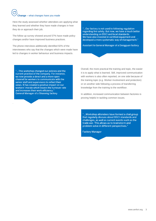# **Change** – what changes have you made

Here the study assessed whether attendees are applying what they learned and whether they have made changes in how they do or approach their job.

The follow up survey showed around 57% have made policy changes and/or have improved business practices.

The phone interviews additionally identified 92% of the interviewees who say that the changes which were made have led to changes in worker behaviour and business impacts.

"... Our factory is not used to following regulation regarding fire safety. But now, we have a much better understanding on BSCI and local standards. We have also invested in certified equipment and developed a more systematic way of management."

Assistant to General Manager of a Dongguan factory

"...This workshop changed our policies and the current practice of the company. For instance. we now provide a direct and a more open channel for workers to communicate with the senior staff and supervisors to reflect their views. It has created a positive impact on our workers' morale which lowers the turnover rate and increases their work efficiency.' General Manager of a Shaoxing factory

.

Overall, the more practical the training and topic, the easier it is to apply what is learned. Still, improved communication with workers is also often reported, on one side because of the training topic (e.g. Worker involvement and protection) or on another side following a process of transferring knowledge from the training to the workfloor.

In addition, increased communication between factories is proving helpful in tackling common issues.

"... Workshop attendees have formed a chat group that regularly discuss about BSCI standards and challenges, as well as current events such as the trade war. This allows us to brainstorm and problem-solve in different perspectives."

**Factory Manager**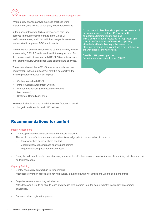# **Impact** – what has improved because of the changes made

Where policy changes and/or business practices were implemented, has this led to company level improvements?

In the phone interviews, 85% of interviewees said they believed improvements were made in the 13 BSCI performance areas, and 77% said the changes implemented had resulted in improved BSCI audit results.

The correlation analysis conducted as part of this study looked at comparing BSCI 2.0 audit results with training records. For this, factories with at least one valid BSCI 2.0 audit before and after attending a BSCI workshop were selected and analysed.

The results showed that 42% of these factories showed an improvement in their audit score. From this perspective, the following courses showed most impact:

- **Getting started with BSCI**
- Intro to Social Management System
- Worker Involvement & Protection (Grievance Mechanisms)
- **Drafting a Remediation Plan**

However, it should also be noted that 36% of factories showed no change in audit results, and 21% declined.

# Recommendations for amfori

#### Impact Assessment

- Conduct pre-intervention assessment to measure baseline
	- This would be useful to understand attendees knowledge prior to the workshop, in order to
		- Tailor workshop delivery where needed
		- Measure knowledge increase prior vs post-training
		- Regularly assess post-intervention impact
- Doing this will enable amfori to continuously measure the effectiveness and possible impact of its training activities, and act on this knowledge.

#### Capacity Building

- Deploy case study approach in training material Attendees very much appreciated having practical examples during workshops and wish to see more of this.
- Organise sessions according to industries Attendees would like to be able to learn and discuss with learners from the same industry, particularly on common challenges.
- **Enhance online registration process**

"...the content of each workshop does not cover all 13 performance areas audited. Producers with comparable training results and also with a decline in audit results do not represent any specific ineffectiveness of the workshops they attended as the decline might be related to<br>other performance areas which were not included in the workshop(s) they attended.

Deloitte HKG, project partner From impact assessment report (2019)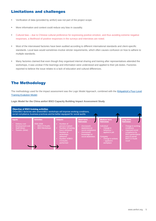# Limitations and challenges

- Verification of data (provided by amfori) was not part of the project scope.
- More information and context could reduce any bias in causality.
- Cultural bias due to Chinese cultural preference for expressing positive emotion, and thus avoiding extreme negative responses, a likelihood of positive responses in the surveys and interviews are noted.
- Most of the interviewed factories have been audited according to different international standards and client-specific standards. Local laws would sometimes involve stricter requirements, which often causes confusion on how to adhere to multiple standards.
- Many factories claimed that even though they organised internal sharing and training after representatives attended the workshops, it was unclear if the learnings and information were understood and applied to their job duties. Factories reported to believe the issue relates to a lack of education and cultural differences.

# The Methodology

The methodology used for the impact assessment was the Logic Model Approach, combined with the [Kirkpatrick's Four-Level](https://www.kirkpatrickpartners.com/Our-Philosophy/The-Kirkpatrick-Model)  [Training Evalution Model.](https://www.kirkpatrickpartners.com/Our-Philosophy/The-Kirkpatrick-Model)

**Logic Model for the China amfori BSCI Capacity Building Impact Assessment Study**